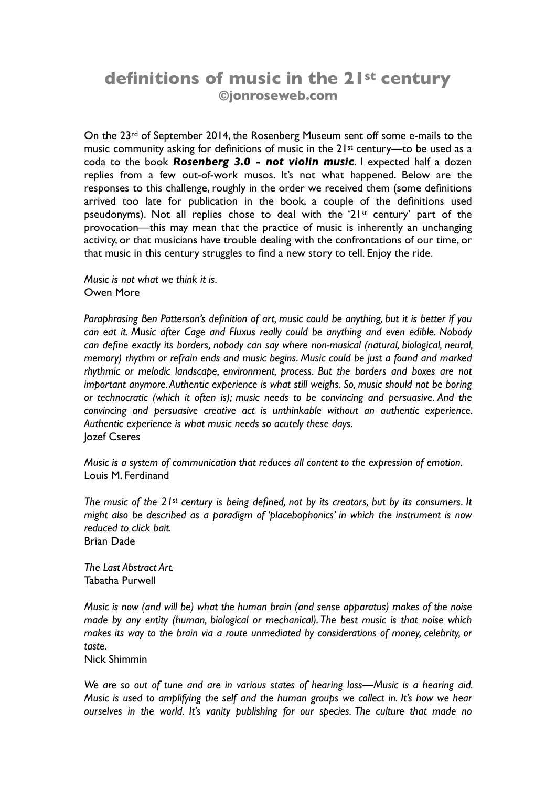# **definitions of music in the 21st century ©jonroseweb.com**

On the 23rd of September 2014, the Rosenberg Museum sent off some e-mails to the music community asking for definitions of music in the 21<sup>st</sup> century—to be used as a coda to the book *Rosenberg 3.0 - not violin music*. I expected half a dozen replies from a few out-of-work musos. It's not what happened. Below are the responses to this challenge, roughly in the order we received them (some definitions arrived too late for publication in the book, a couple of the definitions used pseudonyms). Not all replies chose to deal with the '21st century' part of the provocation—this may mean that the practice of music is inherently an unchanging activity, or that musicians have trouble dealing with the confrontations of our time, or that music in this century struggles to find a new story to tell. Enjoy the ride.

*Music is not what we think it is.*  Owen More

*Paraphrasing Ben Patterson's definition of art, music could be anything, but it is better if you can eat it. Music after Cage and Fluxus really could be anything and even edible. Nobody can define exactly its borders, nobody can say where non-musical (natural, biological, neural, memory) rhythm or refrain ends and music begins. Music could be just a found and marked rhythmic or melodic landscape, environment, process. But the borders and boxes are not important anymore. Authentic experience is what still weighs. So, music should not be boring or technocratic (which it often is); music needs to be convincing and persuasive. And the convincing and persuasive creative act is unthinkable without an authentic experience. Authentic experience is what music needs so acutely these days.* Jozef Cseres

*Music is a system of communication that reduces all content to the expression of emotion.*  Louis M. Ferdinand

*The music of the 21st century is being defined, not by its creators, but by its consumers. It might also be described as a paradigm of 'placebophonics' in which the instrument is now reduced to click bait.* Brian Dade

*The Last Abstract Art.* Tabatha Purwell

*Music is now (and will be) what the human brain (and sense apparatus) makes of the noise made by any entity (human, biological or mechanical). The best music is that noise which makes its way to the brain via a route unmediated by considerations of money, celebrity, or taste.*

Nick Shimmin

*We are so out of tune and are in various states of hearing loss—Music is a hearing aid. Music is used to amplifying the self and the human groups we collect in. It's how we hear ourselves in the world. It's vanity publishing for our species. The culture that made no*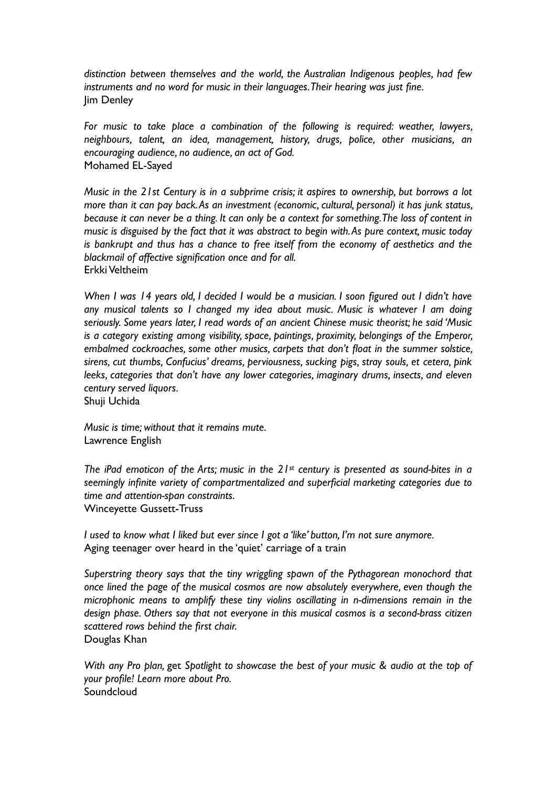*distinction between themselves and the world, the Australian Indigenous peoples, had few instruments and no word for music in their languages. Their hearing was just fine.* Jim Denley

*For music to take place a combination of the following is required: weather, lawyers, neighbours, talent, an idea, management, history, drugs, police, other musicians, an encouraging audience, no audience, an act of God.* Mohamed EL-Sayed

*Music in the 21st Century is in a subprime crisis; it aspires to ownership, but borrows a lot more than it can pay back. As an investment (economic, cultural, personal) it has junk status, because it can never be a thing. It can only be a context for something. The loss of content in music is disguised by the fact that it was abstract to begin with. As pure context, music today is bankrupt and thus has a chance to free itself from the economy of aesthetics and the blackmail of affective signification once and for all.* Erkki Veltheim

*When I was 14 years old, I decided I would be a musician. I soon figured out I didn't have any musical talents so I changed my idea about music. Music is whatever I am doing seriously. Some years later, I read words of an ancient Chinese music theorist; he said 'Music is a category existing among visibility, space, paintings, proximity, belongings of the Emperor, embalmed cockroaches, some other musics, carpets that don't float in the summer solstice, sirens, cut thumbs, Confucius' dreams, perviousness, sucking pigs, stray souls, et cetera, pink leeks, categories that don't have any lower categories, imaginary drums, insects, and eleven century served liquors.*

Shuji Uchida

*Music is time; without that it remains mute.* Lawrence English

*The iPad emoticon of the Arts; music in the 21st century is presented as sound-bites in a seemingly infinite variety of compartmentalized and superficial marketing categories due to time and attention-span constraints.*  Winceyette Gussett-Truss

*I used to know what I liked but ever since I got a 'like' button, I'm not sure anymore.* Aging teenager over heard in the 'quiet' carriage of a train

*Superstring theory says that the tiny wriggling spawn of the Pythagorean monochord that once lined the page of the musical cosmos are now absolutely everywhere, even though the microphonic means to amplify these tiny violins oscillating in n-dimensions remain in the design phase. Others say that not everyone in this musical cosmos is a second-brass citizen scattered rows behind the first chair.*  Douglas Khan

*With any Pro plan,* get *Spotlight to showcase the best of your music & audio at the top of your profile! Learn more about Pro.* Soundcloud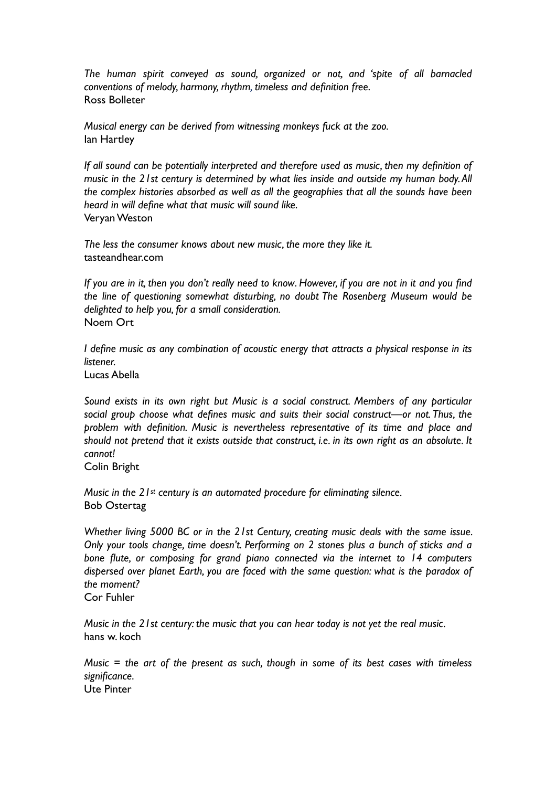*The human spirit conveyed as sound, organized or not, and 'spite of all barnacled conventions of melody, harmony, rhythm, timeless and definition free.* Ross Bolleter

*Musical energy can be derived from witnessing monkeys fuck at the zoo.* Ian Hartley

*If all sound can be potentially interpreted and therefore used as music, then my definition of music in the 21st century is determined by what lies inside and outside my human body. All the complex histories absorbed as well as all the geographies that all the sounds have been heard in will define what that music will sound like.* Veryan Weston

*The less the consumer knows about new music, the more they like it.* tasteandhear.com

*If you are in it, then you don't really need to know*. *However, if you are not in it and you find the line of questioning somewhat disturbing, no doubt The Rosenberg Museum would be delighted to help you, for a small consideration.* Noem Ort

*I define music as any combination of acoustic energy that attracts a physical response in its listener.*

Lucas Abella

*Sound exists in its own right but Music is a social construct. Members of any particular social group choose what defines music and suits their social construct—or not. Thus, the problem with definition. Music is nevertheless representative of its time and place and should not pretend that it exists outside that construct, i.e. in its own right as an absolute. It cannot!*

Colin Bright

*Music in the 21st century is an automated procedure for eliminating silence.* Bob Ostertag

*Whether living 5000 BC or in the 21st Century, creating music deals with the same issue. Only your tools change, time doesn't. Performing on 2 stones plus a bunch of sticks and a bone flute, or composing for grand piano connected via the internet to 14 computers dispersed over planet Earth, you are faced with the same question: what is the paradox of the moment?* 

Cor Fuhler

*Music in the 21st century: the music that you can hear today is not yet the real music.*  hans w. koch

*Music = the art of the present as such, though in some of its best cases with timeless significance.* Ute Pinter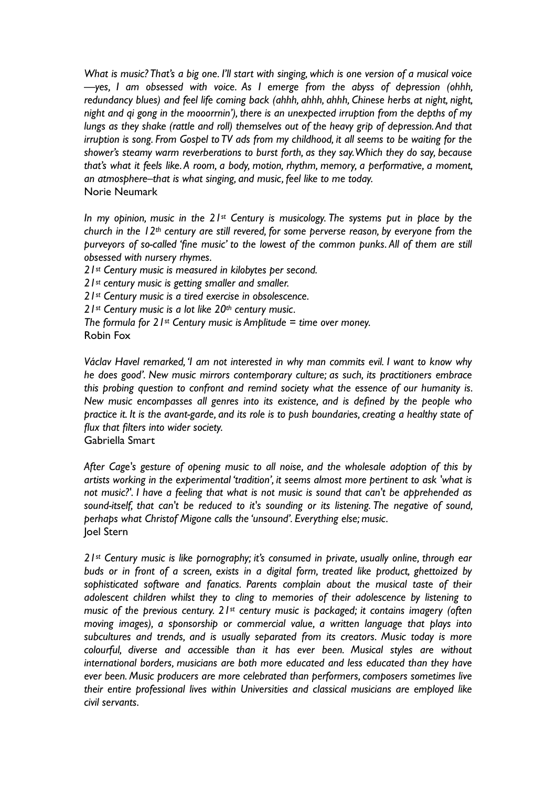*What is music? That's a big one. I'll start with singing, which is one version of a musical voice —yes, I am obsessed with voice. As I emerge from the abyss of depression (ohhh, redundancy blues) and feel life coming back (ahhh, ahhh, ahhh, Chinese herbs at night, night, night and qi gong in the mooorrnin'), there is an unexpected irruption from the depths of my lungs as they shake (rattle and roll) themselves out of the heavy grip of depression. And that irruption is song. From Gospel to TV ads from my childhood, it all seems to be waiting for the shower's steamy warm reverberations to burst forth, as they say. Which they do say, because that's what it feels like. A room, a body, motion, rhythm, memory, a performative, a moment, an atmosphere–that is what singing, and music, feel like to me today.* Norie Neumark

*In my opinion, music in the 21st Century is musicology. The systems put in place by the church in the 12th century are still revered, for some perverse reason, by everyone from the purveyors of so-called 'fine music' to the lowest of the common punks. All of them are still obsessed with nursery rhymes.*

*21st Century music is measured in kilobytes per second.*

*21st century music is getting smaller and smaller.*

*21st Century music is a tired exercise in obsolescence.*

*21st Century music is a lot like 20th century music.*

*The formula for 21st Century music is Amplitude = time over money.* 

```
Robin Fox
```
*Václav Havel remarked, 'I am not interested in why man commits evil. I want to know why he does good'. New music mirrors contemporary culture; as such, its practitioners embrace this probing question to confront and remind society what the essence of our humanity is. New music encompasses all genres into its existence, and is defined by the people who practice it. It is the avant-garde, and its role is to push boundaries, creating a healthy state of flux that filters into wider society.* Gabriella Smart

*After Cage's gesture of opening music to all noise, and the wholesale adoption of this by artists working in the experimental 'tradition', it seems almost more pertinent to ask 'what is not music?'. I have a feeling that what is not music is sound that can't be apprehended as sound-itself, that can't be reduced to it's sounding or its listening. The negative of sound, perhaps what Christof Migone calls the 'unsound'. Everything else; music.* Joel Stern

*21st Century music is like pornography; it's consumed in private, usually online, through ear buds or in front of a screen, exists in a digital form, treated like product, ghettoized by sophisticated software and fanatics. Parents complain about the musical taste of their adolescent children whilst they to cling to memories of their adolescence by listening to music of the previous century. 21st century music is packaged; it contains imagery (often moving images), a sponsorship or commercial value, a written language that plays into subcultures and trends, and is usually separated from its creators. Music today is more colourful, diverse and accessible than it has ever been. Musical styles are without international borders, musicians are both more educated and less educated than they have ever been. Music producers are more celebrated than performers, composers sometimes live their entire professional lives within Universities and classical musicians are employed like civil servants.*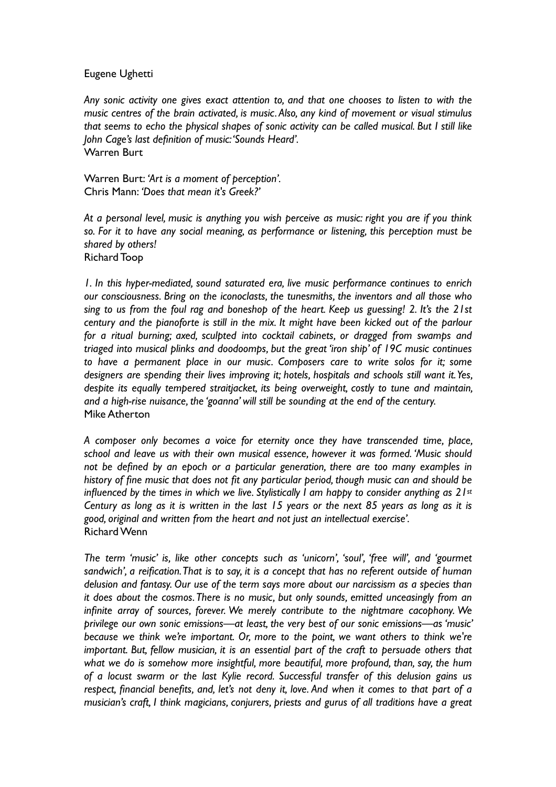## Eugene Ughetti

*Any sonic activity one gives exact attention to, and that one chooses to listen to with the music centres of the brain activated, is music. Also, any kind of movement or visual stimulus that seems to echo the physical shapes of sonic activity can be called musical. But I still like John Cage's last definition of music: 'Sounds Heard'.* Warren Burt

Warren Burt: *'Art is a moment of perception'.* Chris Mann: *'Does that mean it's Greek?'*

*At a personal level, music is anything you wish perceive as music: right you are if you think so. For it to have any social meaning, as performance or listening, this perception must be shared by others!* Richard Toop

*1. In this hyper-mediated, sound saturated era, live music performance continues to enrich our consciousness. Bring on the iconoclasts, the tunesmiths, the inventors and all those who sing to us from the foul rag and boneshop of the heart. Keep us guessing! 2. It's the 21st century and the pianoforte is still in the mix. It might have been kicked out of the parlour for a ritual burning; axed, sculpted into cocktail cabinets, or dragged from swamps and triaged into musical plinks and doodoomps, but the great 'iron ship' of 19C music continues to have a permanent place in our music. Composers care to write solos for it; some designers are spending their lives improving it; hotels, hospitals and schools still want it. Yes, despite its equally tempered straitjacket, its being overweight, costly to tune and maintain, and a high-rise nuisance, the 'goanna' will still be sounding at the end of the century.* Mike Atherton

*A composer only becomes a voice for eternity once they have transcended time, place, school and leave us with their own musical essence, however it was formed. 'Music should not be defined by an epoch or a particular generation, there are too many examples in history of fine music that does not fit any particular period, though music can and should be influenced by the times in which we live. Stylistically I am happy to consider anything as 21st Century as long as it is written in the last 15 years or the next 85 years as long as it is good, original and written from the heart and not just an intellectual exercise'.* Richard Wenn

*The term 'music' is, like other concepts such as 'unicorn', 'soul', 'free will', and 'gourmet sandwich', a reification. That is to say, it is a concept that has no referent outside of human delusion and fantasy. Our use of the term says more about our narcissism as a species than it does about the cosmos. There is no music, but only sounds, emitted unceasingly from an infinite array of sources, forever. We merely contribute to the nightmare cacophony. We privilege our own sonic emissions—at least, the very best of our sonic emissions—as 'music' because we think we're important. Or, more to the point, we want others to think we're important. But, fellow musician, it is an essential part of the craft to persuade others that what we do is somehow more insightful, more beautiful, more profound, than, say, the hum of a locust swarm or the last Kylie record. Successful transfer of this delusion gains us respect, financial benefits, and, let's not deny it, love. And when it comes to that part of a musician's craft, I think magicians, conjurers, priests and gurus of all traditions have a great*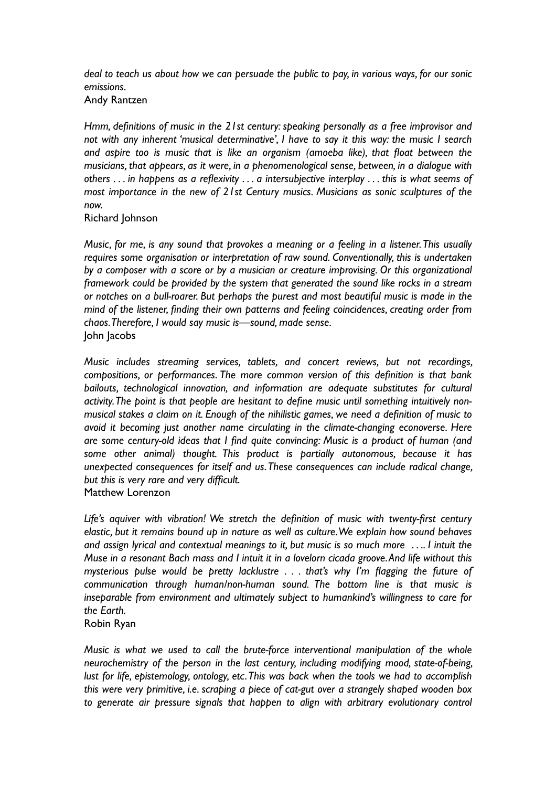*deal to teach us about how we can persuade the public to pay, in various ways, for our sonic emissions.*

Andy Rantzen

*Hmm, definitions of music in the 21st century: speaking personally as a free improvisor and not with any inherent 'musical determinative', I have to say it this way: the music I search and aspire too is music that is like an organism (amoeba like), that float between the musicians, that appears, as it were, in a phenomenological sense, between, in a dialogue with others . . . in happens as a reflexivity . . . a intersubjective interplay . . . this is what seems of most importance in the new of 21st Century musics. Musicians as sonic sculptures of the now.*

Richard Johnson

*Music, for me, is any sound that provokes a meaning or a feeling in a listener. This usually requires some organisation or interpretation of raw sound. Conventionally, this is undertaken by a composer with a score or by a musician or creature improvising. Or this organizational framework could be provided by the system that generated the sound like rocks in a stream or notches on a bull-roarer. But perhaps the purest and most beautiful music is made in the mind of the listener, finding their own patterns and feeling coincidences, creating order from chaos. Therefore, I would say music is—sound, made sense.* John Jacobs

*Music includes streaming services, tablets, and concert reviews, but not recordings, compositions, or performances. The more common version of this definition is that bank bailouts, technological innovation, and information are adequate substitutes for cultural activity. The point is that people are hesitant to define music until something intuitively nonmusical stakes a claim on it. Enough of the nihilistic games, we need a definition of music to avoid it becoming just another name circulating in the climate-changing econoverse. Here are some century-old ideas that I find quite convincing: Music is a product of human (and some other animal) thought. This product is partially autonomous, because it has unexpected consequences for itself and us. These consequences can include radical change, but this is very rare and very difficult.* Matthew Lorenzon

Life's aquiver with vibration! We stretch the definition of music with twenty-first century *elastic, but it remains bound up in nature as well as culture. We explain how sound behaves and assign lyrical and contextual meanings to it, but music is so much more . . .. I intuit the Muse in a resonant Bach mass and I intuit it in a lovelorn cicada groove. And life without this mysterious pulse would be pretty lacklustre . . . that's why I'm flagging the future of communication through human/non-human sound. The bottom line is that music is inseparable from environment and ultimately subject to humankind's willingness to care for the Earth.*

Robin Ryan

*Music is what we used to call the brute-force interventional manipulation of the whole neurochemistry of the person in the last century, including modifying mood, state-of-being, lust for life, epistemology, ontology, etc. This was back when the tools we had to accomplish this were very primitive, i.e. scraping a piece of cat-gut over a strangely shaped wooden box to generate air pressure signals that happen to align with arbitrary evolutionary control*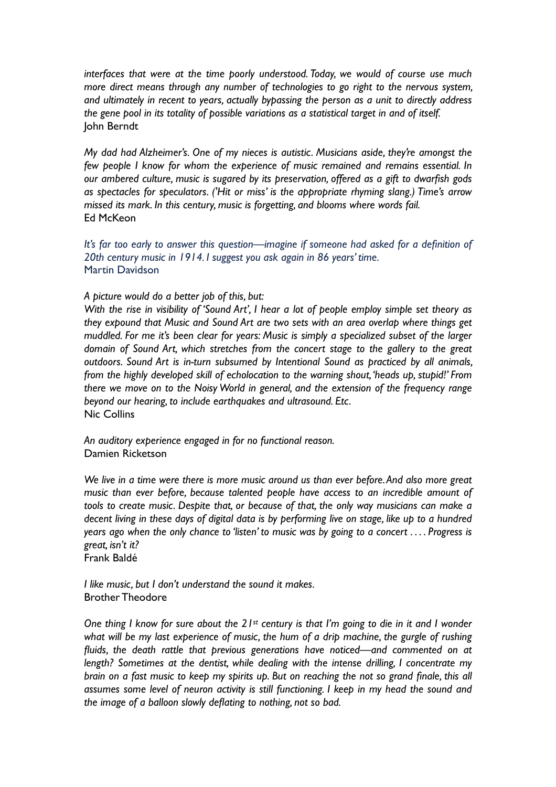*interfaces that were at the time poorly understood. Today, we would of course use much more direct means through any number of technologies to go right to the nervous system, and ultimately in recent to years, actually bypassing the person as a unit to directly address the gene pool in its totality of possible variations as a statistical target in and of itself.* John Berndt

*My dad had Alzheimer's. One of my nieces is autistic. Musicians aside, they're amongst the few people I know for whom the experience of music remained and remains essential. In our ambered culture, music is sugared by its preservation, offered as a gift to dwarfish gods as spectacles for speculators. ('Hit or miss' is the appropriate rhyming slang.) Time's arrow missed its mark. In this century, music is forgetting, and blooms where words fail.* Ed McKeon

*It's far too early to answer this question—imagine if someone had asked for a definition of 20th century music in 1914. I suggest you ask again in 86 years' time.* Martin Davidson

## *A picture would do a better job of this, but:*

*With the rise in visibility of 'Sound Art', I hear a lot of people employ simple set theory as they expound that Music and Sound Art are two sets with an area overlap where things get muddled. For me it's been clear for years: Music is simply a specialized subset of the larger domain of Sound Art, which stretches from the concert stage to the gallery to the great outdoors. Sound Art is in-turn subsumed by Intentional Sound as practiced by all animals, from the highly developed skill of echolocation to the warning shout, 'heads up, stupid!' From there we move on to the Noisy World in general, and the extension of the frequency range beyond our hearing, to include earthquakes and ultrasound. Etc.* Nic Collins

*An auditory experience engaged in for no functional reason.* Damien Ricketson

*We live in a time were there is more music around us than ever before. And also more great music than ever before, because talented people have access to an incredible amount of tools to create music. Despite that, or because of that, the only way musicians can make a decent living in these days of digital data is by performing live on stage, like up to a hundred years ago when the only chance to 'listen' to music was by going to a concert . . . . Progress is great, isn't it?*

Frank Baldé

*I like music, but I don't understand the sound it makes.* Brother Theodore

*One thing I know for sure about the 21st century is that I'm going to die in it and I wonder what will be my last experience of music, the hum of a drip machine, the gurgle of rushing fluids, the death rattle that previous generations have noticed—and commented on at length? Sometimes at the dentist, while dealing with the intense drilling, I concentrate my brain on a fast music to keep my spirits up. But on reaching the not so grand finale, this all assumes some level of neuron activity is still functioning. I keep in my head the sound and the image of a balloon slowly deflating to nothing, not so bad.*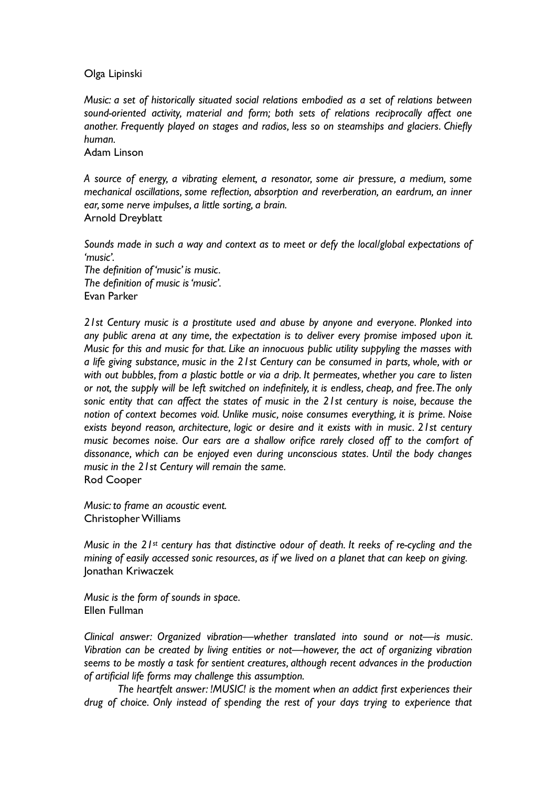## Olga Lipinski

*Music: a set of historically situated social relations embodied as a set of relations between sound-oriented activity, material and form; both sets of relations reciprocally affect one another. Frequently played on stages and radios, less so on steamships and glaciers. Chiefly human.*

Adam Linson

*A source of energy, a vibrating element, a resonator, some air pressure, a medium, some mechanical oscillations, some reflection, absorption and reverberation, an eardrum, an inner ear, some nerve impulses, a little sorting, a brain.* Arnold Dreyblatt

*Sounds made in such a way and context as to meet or defy the local/global expectations of 'music'.*

*The definition of 'music' is music. The definition of music is 'music'.* Evan Parker

*21st Century music is a prostitute used and abuse by anyone and everyone. Plonked into any public arena at any time, the expectation is to deliver every promise imposed upon it. Music for this and music for that. Like an innocuous public utility suppyling the masses with a life giving substance, music in the 21st Century can be consumed in parts, whole, with or with out bubbles, from a plastic bottle or via a drip. It permeates, whether you care to listen or not, the supply will be left switched on indefinitely, it is endless, cheap, and free. The only sonic entity that can affect the states of music in the 21st century is noise, because the notion of context becomes void. Unlike music, noise consumes everything, it is prime. Noise exists beyond reason, architecture, logic or desire and it exists with in music. 21st century music becomes noise. Our ears are a shallow orifice rarely closed off to the comfort of dissonance, which can be enjoyed even during unconscious states. Until the body changes music in the 21st Century will remain the same.* Rod Cooper

*Music: to frame an acoustic event.* Christopher Williams

*Music in the 21st century has that distinctive odour of death. It reeks of re-cycling and the mining of easily accessed sonic resources, as if we lived on a planet that can keep on giving.* Jonathan Kriwaczek

*Music is the form of sounds in space.* Ellen Fullman

*Clinical answer: Organized vibration—whether translated into sound or not—is music. Vibration can be created by living entities or not—however, the act of organizing vibration seems to be mostly a task for sentient creatures, although recent advances in the production of artificial life forms may challenge this assumption.*

*The heartfelt answer: !MUSIC! is the moment when an addict first experiences their drug of choice. Only instead of spending the rest of your days trying to experience that*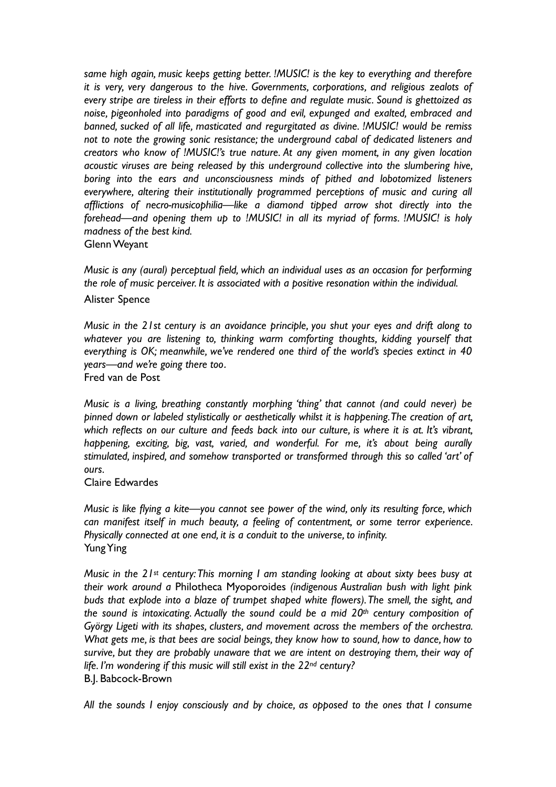*same high again, music keeps getting better. !MUSIC! is the key to everything and therefore it is very, very dangerous to the hive. Governments, corporations, and religious zealots of every stripe are tireless in their efforts to define and regulate music. Sound is ghettoized as noise, pigeonholed into paradigms of good and evil, expunged and exalted, embraced and banned, sucked of all life, masticated and regurgitated as divine. !MUSIC! would be remiss not to note the growing sonic resistance; the underground cabal of dedicated listeners and creators who know of !MUSIC!'s true nature. At any given moment, in any given location acoustic viruses are being released by this underground collective into the slumbering hive, boring into the ears and unconsciousness minds of pithed and lobotomized listeners everywhere, altering their institutionally programmed perceptions of music and curing all afflictions of necro-musicophilia—like a diamond tipped arrow shot directly into the forehead—and opening them up to !MUSIC! in all its myriad of forms. !MUSIC! is holy madness of the best kind.* Glenn Weyant

*Music is any (aural) perceptual field, which an individual uses as an occasion for performing the role of music perceiver. It is associated with a positive resonation within the individual.* Alister Spence

*Music in the 21st century is an avoidance principle, you shut your eyes and drift along to whatever you are listening to, thinking warm comforting thoughts, kidding yourself that everything is OK; meanwhile, we've rendered one third of the world's species extinct in 40 years—and we're going there too.*

Fred van de Post

*Music is a living, breathing constantly morphing 'thing' that cannot (and could never) be pinned down or labeled stylistically or aesthetically whilst it is happening. The creation of art, which reflects on our culture and feeds back into our culture, is where it is at. It's vibrant, happening, exciting, big, vast, varied, and wonderful. For me, it's about being aurally stimulated, inspired, and somehow transported or transformed through this so called 'art' of ours.*

#### Claire Edwardes

*Music is like flying a kite—you cannot see power of the wind, only its resulting force, which can manifest itself in much beauty, a feeling of contentment, or some terror experience. Physically connected at one end, it is a conduit to the universe, to infinity.* Yung Ying

*Music in the 21st century: This morning I am standing looking at about sixty bees busy at their work around a* Philotheca Myoporoides *(indigenous Australian bush with light pink buds that explode into a blaze of trumpet shaped white flowers). The smell, the sight, and the sound is intoxicating. Actually the sound could be a mid 20th century composition of György Ligeti with its shapes, clusters, and movement across the members of the orchestra. What gets me, is that bees are social beings, they know how to sound, how to dance, how to survive, but they are probably unaware that we are intent on destroying them, their way of life. I'm wondering if this music will still exist in the 22nd century?* B.J. Babcock-Brown

*All the sounds I enjoy consciously and by choice, as opposed to the ones that I consume*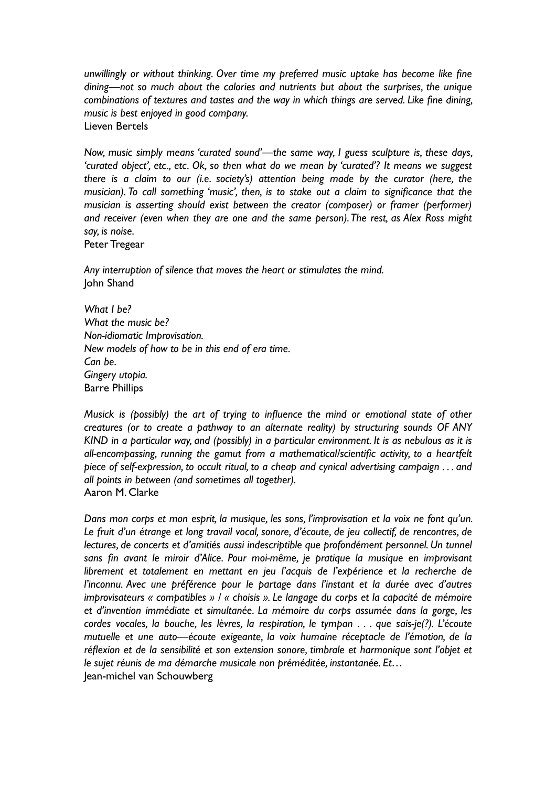*unwillingly or without thinking. Over time my preferred music uptake has become like fine dining—not so much about the calories and nutrients but about the surprises, the unique combinations of textures and tastes and the way in which things are served. Like fine dining, music is best enjoyed in good company.* Lieven Bertels

*Now, music simply means 'curated sound'—the same way, I guess sculpture is, these days, 'curated object', etc., etc. Ok, so then what do we mean by 'curated'? It means we suggest there is a claim to our (i.e. society's) attention being made by the curator (here, the musician). To call something 'music', then, is to stake out a claim to significance that the musician is asserting should exist between the creator (composer) or framer (performer) and receiver (even when they are one and the same person). The rest, as Alex Ross might say, is noise.*

Peter Tregear

*Any interruption of silence that moves the heart or stimulates the mind.* John Shand

*What I be? What the music be? Non-idiomatic Improvisation. New models of how to be in this end of era time. Can be. Gingery utopia.* Barre Phillips

*Musick is (possibly) the art of trying to influence the mind or emotional state of other creatures (or to create a pathway to an alternate reality) by structuring sounds OF ANY KIND in a particular way, and (possibly) in a particular environment. It is as nebulous as it is all-encompassing, running the gamut from a mathematical/scientific activity, to a heartfelt piece of self-expression, to occult ritual, to a cheap and cynical advertising campaign . . . and all points in between (and sometimes all together).* Aaron M. Clarke

*Dans mon corps et mon esprit, la musique, les sons, l'improvisation et la voix ne font qu'un. Le fruit d'un étrange et long travail vocal, sonore, d'écoute, de jeu collectif, de rencontres, de*  lectures, de concerts et d'amitiés aussi indescriptible que profondément personnel. Un tunnel *sans fin avant le miroir d'Alice. Pour moi-même, je pratique la musique en improvisant librement et totalement en mettant en jeu l'acquis de l'expérience et la recherche de l'inconnu. Avec une préférence pour le partage dans l'instant et la durée avec d'autres improvisateurs « compatibles » / « choisis ». Le langage du corps et la capacité de mémoire et d'invention immédiate et simultanée. La mémoire du corps assumée dans la gorge, les cordes vocales, la bouche, les lèvres, la respiration, le tympan . . . que sais-je(?). L'écoute mutuelle et une auto—écoute exigeante, la voix humaine réceptacle de l'émotion, de la réflexion et de la sensibilité et son extension sonore, timbrale et harmonique sont l'objet et le sujet réunis de ma démarche musicale non préméditée, instantanée. Et…* Jean-michel van Schouwberg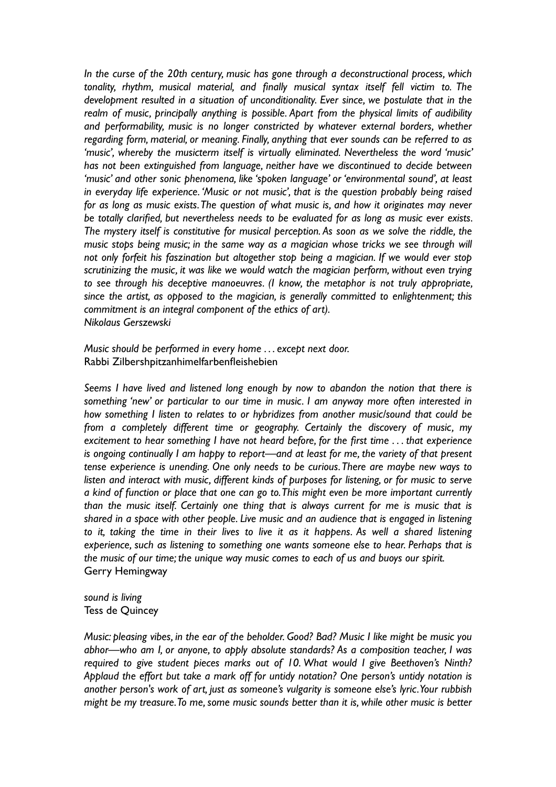*In the curse of the 20th century, music has gone through a deconstructional process, which tonality, rhythm, musical material, and finally musical syntax itself fell victim to. The development resulted in a situation of unconditionality. Ever since, we postulate that in the realm of music, principally anything is possible. Apart from the physical limits of audibility and performability, music is no longer constricted by whatever external borders, whether regarding form, material, or meaning. Finally, anything that ever sounds can be referred to as 'music', whereby the musicterm itself is virtually eliminated. Nevertheless the word 'music' has not been extinguished from language, neither have we discontinued to decide between 'music' and other sonic phenomena, like 'spoken language' or 'environmental sound', at least in everyday life experience. 'Music or not music', that is the question probably being raised for as long as music exists. The question of what music is, and how it originates may never be totally clarified, but nevertheless needs to be evaluated for as long as music ever exists. The mystery itself is constitutive for musical perception. As soon as we solve the riddle, the music stops being music; in the same way as a magician whose tricks we see through will not only forfeit his faszination but altogether stop being a magician. If we would ever stop scrutinizing the music, it was like we would watch the magician perform, without even trying to see through his deceptive manoeuvres. (I know, the metaphor is not truly appropriate, since the artist, as opposed to the magician, is generally committed to enlightenment; this commitment is an integral component of the ethics of art). Nikolaus Gerszewski*

*Music should be performed in every home . . . except next door.*  Rabbi Zilbershpitzanhimelfarbenfleishebien

*Seems I have lived and listened long enough by now to abandon the notion that there is something 'new' or particular to our time in music. I am anyway more often interested in how something I listen to relates to or hybridizes from another music/sound that could be from a completely different time or geography. Certainly the discovery of music, my excitement to hear something I have not heard before, for the first time . . . that experience is ongoing continually I am happy to report—and at least for me, the variety of that present tense experience is unending. One only needs to be curious. There are maybe new ways to listen and interact with music, different kinds of purposes for listening, or for music to serve a kind of function or place that one can go to. This might even be more important currently than the music itself. Certainly one thing that is always current for me is music that is shared in a space with other people. Live music and an audience that is engaged in listening*  to it, taking the time in their lives to live it as it happens. As well a shared listening *experience, such as listening to something one wants someone else to hear. Perhaps that is the music of our time; the unique way music comes to each of us and buoys our spirit.* Gerry Hemingway

*sound is living* Tess de Quincey

*Music: pleasing vibes, in the ear of the beholder. Good? Bad? Music I like might be music you abhor—who am I, or anyone, to apply absolute standards? As a composition teacher, I was required to give student pieces marks out of 10. What would I give Beethoven's Ninth? Applaud the effort but take a mark off for untidy notation? One person's untidy notation is another person's work of art, just as someone's vulgarity is someone else's lyric. Your rubbish might be my treasure. To me, some music sounds better than it is, while other music is better*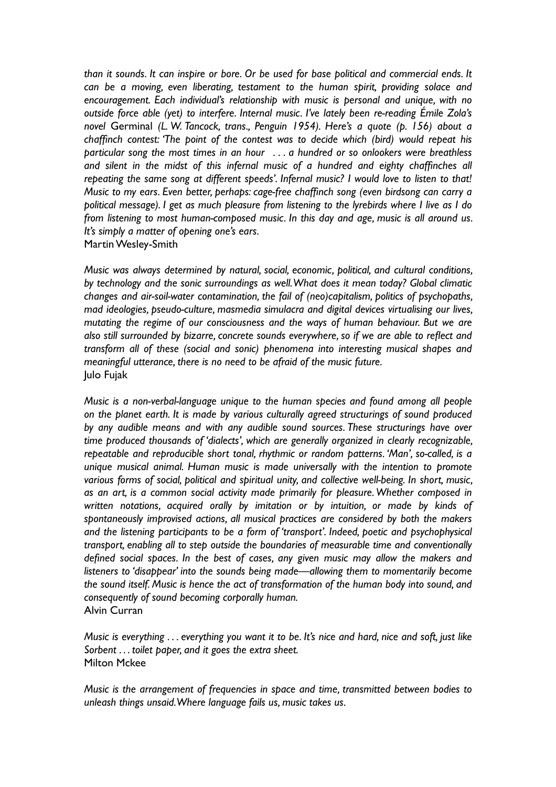*than it sounds. It can inspire or bore. Or be used for base political and commercial ends. It can be a moving, even liberating, testament to the human spirit, providing solace and encouragement. Each individual's relationship with music is personal and unique, with no outside force able (yet) to interfere. Internal music. I've lately been re-reading Émile Zola's novel* Germinal *(L. W. Tancock, trans., Penguin 1954). Here's a quote (p. 156) about a chaffinch contest: 'The point of the contest was to decide which (bird) would repeat his particular song the most times in an hour . . . a hundred or so onlookers were breathless and silent in the midst of this infernal music of a hundred and eighty chaffinches all repeating the same song at different speeds'. Infernal music? I would love to listen to that! Music to my ears. Even better, perhaps: cage-free chaffinch song (even birdsong can carry a political message). I get as much pleasure from listening to the lyrebirds where I live as I do from listening to most human-composed music. In this day and age, music is all around us. It's simply a matter of opening one's ears.* Martin Wesley-Smith

*Music was always determined by natural, social, economic, political, and cultural conditions, by technology and the sonic surroundings as well. What does it mean today? Global climatic changes and air-soil-water contamination, the fail of (neo)capitalism, politics of psychopaths, mad ideologies, pseudo-culture, masmedia simulacra and digital devices virtualising our lives, mutating the regime of our consciousness and the ways of human behaviour. But we are also still surrounded by bizarre, concrete sounds everywhere, so if we are able to reflect and transform all of these (social and sonic) phenomena into interesting musical shapes and meaningful utterance, there is no need to be afraid of the music future.* Julo Fujak

*Music is a non-verbal-language unique to the human species and found among all people on the planet earth. It is made by various culturally agreed structurings of sound produced by any audible means and with any audible sound sources. These structurings have over time produced thousands of 'dialects', which are generally organized in clearly recognizable, repeatable and reproducible short tonal, rhythmic or random patterns. 'Man', so-called, is a unique musical animal. Human music is made universally with the intention to promote various forms of social, political and spiritual unity, and collective well-being. In short, music, as an art, is a common social activity made primarily for pleasure. Whether composed in written notations, acquired orally by imitation or by intuition, or made by kinds of spontaneously improvised actions, all musical practices are considered by both the makers and the listening participants to be a form of 'transport'. Indeed, poetic and psychophysical transport, enabling all to step outside the boundaries of measurable time and conventionally defined social spaces. In the best of cases, any given music may allow the makers and listeners to 'disappear' into the sounds being made—allowing them to momentarily become the sound itself. Music is hence the act of transformation of the human body into sound, and consequently of sound becoming corporally human.* Alvin Curran

*Music is everything . . . everything you want it to be. It's nice and hard, nice and soft, just like Sorbent . . . toilet paper, and it goes the extra sheet.* Milton Mckee

*Music is the arrangement of frequencies in space and time, transmitted between bodies to unleash things unsaid. Where language fails us, music takes us.*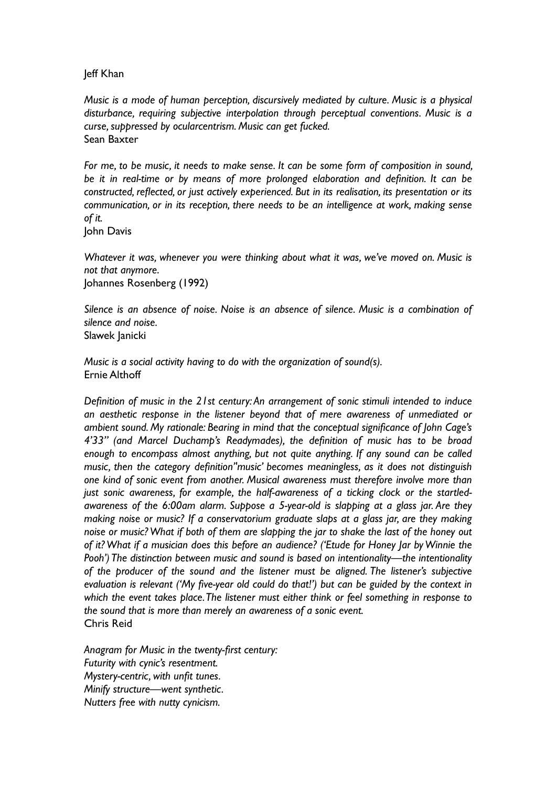## Jeff Khan

*Music is a mode of human perception, discursively mediated by culture. Music is a physical disturbance, requiring subjective interpolation through perceptual conventions. Music is a curse, suppressed by ocularcentrism. Music can get fucked.* Sean Baxter

*For me, to be music, it needs to make sense. It can be some form of composition in sound, be it in real-time or by means of more prolonged elaboration and definition. It can be constructed, reflected, or just actively experienced. But in its realisation, its presentation or its communication, or in its reception, there needs to be an intelligence at work, making sense of it.*

John Davis

*Whatever it was, whenever you were thinking about what it was, we've moved on. Music is not that anymore*.

Johannes Rosenberg (1992)

*Silence is an absence of noise. Noise is an absence of silence. Music is a combination of silence and noise.*

Slawek Janicki

*Music is a social activity having to do with the organization of sound(s).* Ernie Althoff

*Definition of music in the 21st century: An arrangement of sonic stimuli intended to induce an aesthetic response in the listener beyond that of mere awareness of unmediated or ambient sound. My rationale: Bearing in mind that the conceptual significance of John Cage's 4'33" (and Marcel Duchamp's Readymades), the definition of music has to be broad enough to encompass almost anything, but not quite anything. If any sound can be called music, then the category definition''music' becomes meaningless, as it does not distinguish one kind of sonic event from another. Musical awareness must therefore involve more than just sonic awareness, for example, the half-awareness of a ticking clock or the startledawareness of the 6:00am alarm. Suppose a 5-year-old is slapping at a glass jar. Are they making noise or music? If a conservatorium graduate slaps at a glass jar, are they making noise or music? What if both of them are slapping the jar to shake the last of the honey out of it? What if a musician does this before an audience? ('Etude for Honey Jar by Winnie the Pooh') The distinction between music and sound is based on intentionality—the intentionality of the producer of the sound and the listener must be aligned. The listener's subjective evaluation is relevant ('My five-year old could do that!') but can be guided by the context in which the event takes place. The listener must either think or feel something in response to the sound that is more than merely an awareness of a sonic event.* Chris Reid

*Anagram for Music in the twenty-first century: Futurity with cynic's resentment. Mystery-centric, with unfit tunes. Minify structure—went synthetic. Nutters free with nutty cynicism.*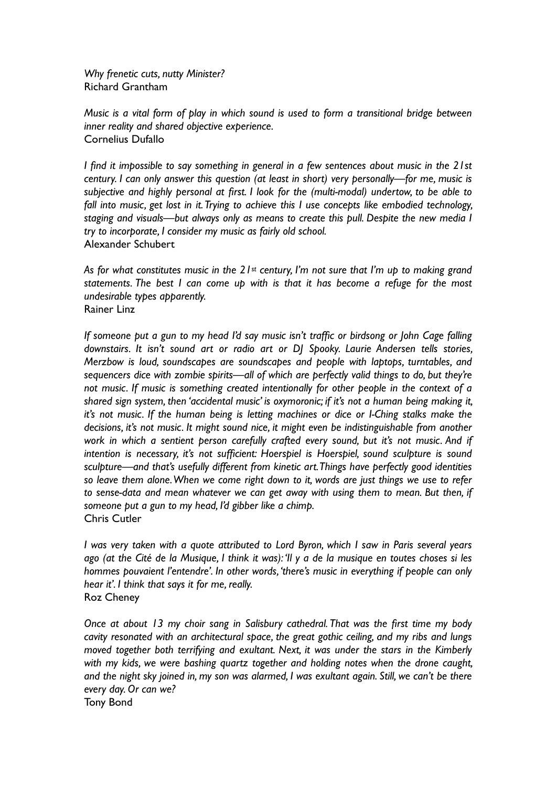*Why frenetic cuts, nutty Minister?* Richard Grantham

*Music is a vital form of play in which sound is used to form a transitional bridge between inner reality and shared objective experience.* Cornelius Dufallo

*I find it impossible to say something in general in a few sentences about music in the 21st century. I can only answer this question (at least in short) very personally—for me, music is subjective and highly personal at first. I look for the (multi-modal) undertow, to be able to fall into music, get lost in it. Trying to achieve this I use concepts like embodied technology, staging and visuals—but always only as means to create this pull. Despite the new media I try to incorporate, I consider my music as fairly old school.* Alexander Schubert

*As for what constitutes music in the 21st century, I'm not sure that I'm up to making grand statements. The best I can come up with is that it has become a refuge for the most undesirable types apparently.* Rainer Linz

*If someone put a gun to my head I'd say music isn't traffic or birdsong or John Cage falling downstairs. It isn't sound art or radio art or DJ Spooky. Laurie Andersen tells stories, Merzbow is loud, soundscapes are soundscapes and people with laptops, turntables, and sequencers dice with zombie spirits—all of which are perfectly valid things to do, but they're not music. If music is something created intentionally for other people in the context of a shared sign system, then 'accidental music' is oxymoronic; if it's not a human being making it, it's not music. If the human being is letting machines or dice or I-Ching stalks make the decisions, it's not music. It might sound nice, it might even be indistinguishable from another work in which a sentient person carefully crafted every sound, but it's not music. And if intention is necessary, it's not sufficient: Hoerspiel is Hoerspiel, sound sculpture is sound sculpture—and that's usefully different from kinetic art. Things have perfectly good identities so leave them alone. When we come right down to it, words are just things we use to refer to sense-data and mean whatever we can get away with using them to mean. But then, if someone put a gun to my head, I'd gibber like a chimp.* Chris Cutler

*I was very taken with a quote attributed to Lord Byron, which I saw in Paris several years ago (at the Cité de la Musique, I think it was): 'Il y a de la musique en toutes choses si les hommes pouvaient l'entendre'. In other words, 'there's music in everything if people can only hear it'. I think that says it for me, really.* Roz Cheney

*Once at about 13 my choir sang in Salisbury cathedral. That was the first time my body cavity resonated with an architectural space, the great gothic ceiling, and my ribs and lungs moved together both terrifying and exultant. Next, it was under the stars in the Kimberly with my kids, we were bashing quartz together and holding notes when the drone caught, and the night sky joined in, my son was alarmed, I was exultant again. Still, we can't be there every day. Or can we?* Tony Bond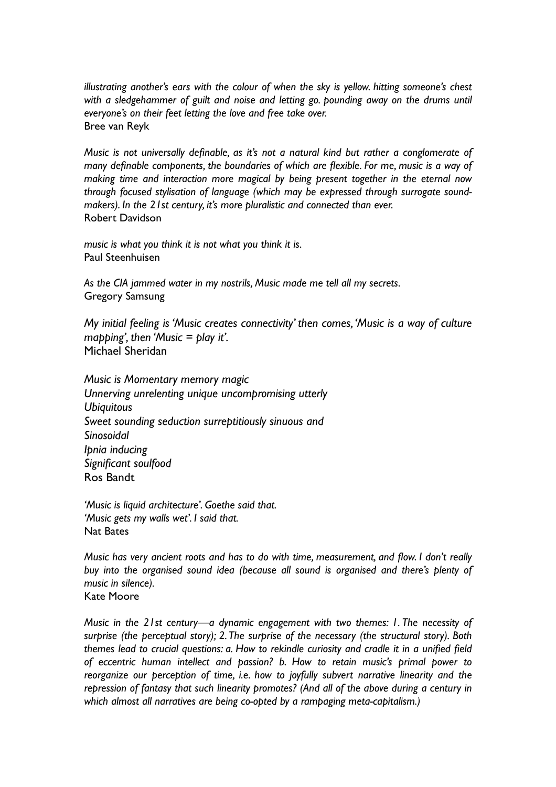*illustrating another's ears with the colour of when the sky is yellow. hitting someone's chest with a sledgehammer of guilt and noise and letting go. pounding away on the drums until everyone's on their feet letting the love and free take over.* Bree van Reyk

*Music is not universally definable, as it's not a natural kind but rather a conglomerate of many definable components, the boundaries of which are flexible. For me, music is a way of making time and interaction more magical by being present together in the eternal now through focused stylisation of language (which may be expressed through surrogate soundmakers). In the 21st century, it's more pluralistic and connected than ever.* Robert Davidson

*music is what you think it is not what you think it is.* Paul Steenhuisen

*As the CIA jammed water in my nostrils, Music made me tell all my secrets.* Gregory Samsung

*My initial feeling is 'Music creates connectivity' then comes, 'Music is a way of culture mapping', then 'Music = play it'.* Michael Sheridan

*Music is Momentary memory magic Unnerving unrelenting unique uncompromising utterly Ubiquitous Sweet sounding seduction surreptitiously sinuous and Sinosoidal Ipnia inducing Significant soulfood*  Ros Bandt

*'Music is liquid architecture'. Goethe said that. 'Music gets my walls wet'. I said that.* Nat Bates

*Music has very ancient roots and has to do with time, measurement, and flow. I don't really buy into the organised sound idea (because all sound is organised and there's plenty of music in silence).* Kate Moore

*Music in the 21st century—a dynamic engagement with two themes: 1. The necessity of surprise (the perceptual story); 2. The surprise of the necessary (the structural story). Both themes lead to crucial questions: a. How to rekindle curiosity and cradle it in a unified field of eccentric human intellect and passion? b. How to retain music's primal power to reorganize our perception of time, i.e. how to joyfully subvert narrative linearity and the repression of fantasy that such linearity promotes? (And all of the above during a century in which almost all narratives are being co-opted by a rampaging meta-capitalism.)*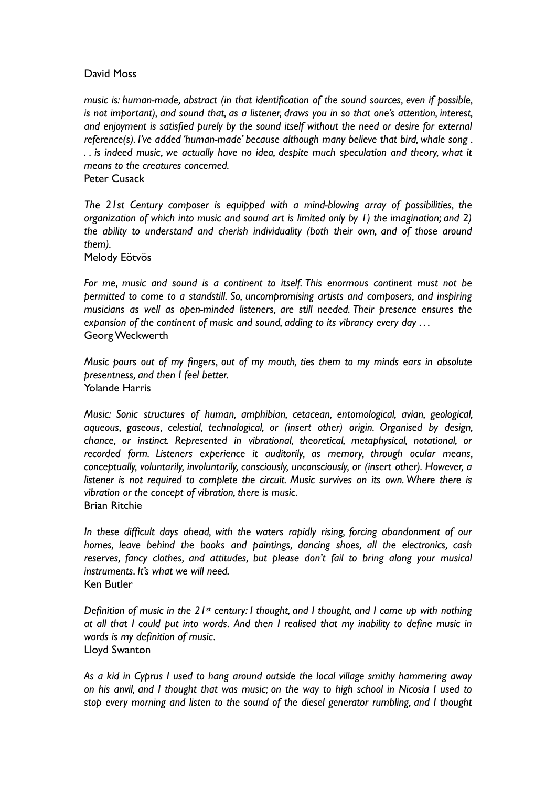# David Moss

*music is: human-made, abstract (in that identification of the sound sources, even if possible, is not important), and sound that, as a listener, draws you in so that one's attention, interest, and enjoyment is satisfied purely by the sound itself without the need or desire for external reference(s). I've added 'human-made' because although many believe that bird, whale song . . . is indeed music, we actually have no idea, despite much speculation and theory, what it means to the creatures concerned.* Peter Cusack

*The 21st Century composer is equipped with a mind-blowing array of possibilities, the organization of which into music and sound art is limited only by 1) the imagination; and 2) the ability to understand and cherish individuality (both their own, and of those around them).*

Melody Eötvös

*For me, music and sound is a continent to itself. This enormous continent must not be permitted to come to a standstill. So, uncompromising artists and composers, and inspiring musicians as well as open-minded listeners, are still needed. Their presence ensures the expansion of the continent of music and sound, adding to its vibrancy every day . . .* Georg Weckwerth

*Music pours out of my fingers, out of my mouth, ties them to my minds ears in absolute presentness, and then I feel better.* Yolande Harris

*Music: Sonic structures of human, amphibian, cetacean, entomological, avian, geological, aqueous, gaseous, celestial, technological, or (insert other) origin. Organised by design, chance, or instinct. Represented in vibrational, theoretical, metaphysical, notational, or recorded form. Listeners experience it auditorily, as memory, through ocular means, conceptually, voluntarily, involuntarily, consciously, unconsciously, or (insert other). However, a*  listener is not required to complete the circuit. Music survives on its own. Where there is *vibration or the concept of vibration, there is music.* Brian Ritchie

*In these difficult days ahead, with the waters rapidly rising, forcing abandonment of our homes, leave behind the books and paintings, dancing shoes, all the electronics, cash reserves, fancy clothes, and attitudes, but please don't fail to bring along your musical instruments. It's what we will need.* Ken Butler

*Definition of music in the 21st century: I thought, and I thought, and I came up with nothing at all that I could put into words. And then I realised that my inability to define music in words is my definition of music.* Lloyd Swanton

*As a kid in Cyprus I used to hang around outside the local village smithy hammering away on his anvil, and I thought that was music; on the way to high school in Nicosia I used to stop every morning and listen to the sound of the diesel generator rumbling, and I thought*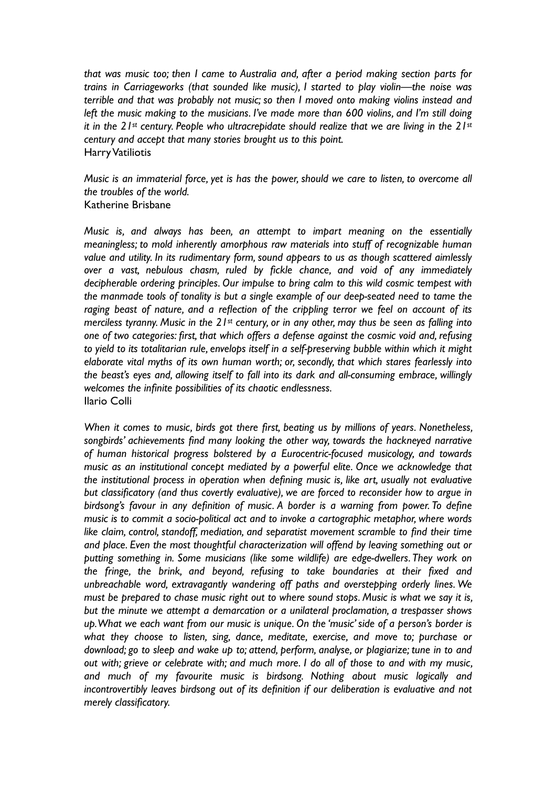*that was music too; then I came to Australia and, after a period making section parts for trains in Carriageworks (that sounded like music), I started to play violin—the noise was terrible and that was probably not music; so then I moved onto making violins instead and left the music making to the musicians. I've made more than 600 violins, and I'm still doing it in the 21st century. People who ultracrepidate should realize that we are living in the 21st century and accept that many stories brought us to this point.* Harry Vatiliotis

*Music is an immaterial force, yet is has the power, should we care to listen, to overcome all the troubles of the world.* Katherine Brisbane

*Music is, and always has been, an attempt to impart meaning on the essentially meaningless; to mold inherently amorphous raw materials into stuff of recognizable human value and utility. In its rudimentary form, sound appears to us as though scattered aimlessly over a vast, nebulous chasm, ruled by fickle chance, and void of any immediately decipherable ordering principles. Our impulse to bring calm to this wild cosmic tempest with the manmade tools of tonality is but a single example of our deep-seated need to tame the raging beast of nature, and a reflection of the crippling terror we feel on account of its merciless tyranny. Music in the 21st century, or in any other, may thus be seen as falling into one of two categories: first, that which offers a defense against the cosmic void and, refusing to yield to its totalitarian rule, envelops itself in a self-preserving bubble within which it might elaborate vital myths of its own human worth; or, secondly, that which stares fearlessly into the beast's eyes and, allowing itself to fall into its dark and all-consuming embrace, willingly welcomes the infinite possibilities of its chaotic endlessness.* Ilario Colli

*When it comes to music, birds got there first, beating us by millions of years. Nonetheless, songbirds' achievements find many looking the other way, towards the hackneyed narrative of human historical progress bolstered by a Eurocentric-focused musicology, and towards music as an institutional concept mediated by a powerful elite. Once we acknowledge that the institutional process in operation when defining music is, like art, usually not evaluative but classificatory (and thus covertly evaluative), we are forced to reconsider how to argue in birdsong's favour in any definition of music. A border is a warning from power. To define music is to commit a socio-political act and to invoke a cartographic metaphor, where words like claim, control, standoff, mediation, and separatist movement scramble to find their time and place. Even the most thoughtful characterization will offend by leaving something out or putting something in. Some musicians (like some wildlife) are edge-dwellers. They work on the fringe, the brink, and beyond, refusing to take boundaries at their fixed and unbreachable word, extravagantly wandering off paths and overstepping orderly lines. We must be prepared to chase music right out to where sound stops. Music is what we say it is, but the minute we attempt a demarcation or a unilateral proclamation, a trespasser shows up. What we each want from our music is unique. On the 'music' side of a person's border is what they choose to listen, sing, dance, meditate, exercise, and move to; purchase or download; go to sleep and wake up to; attend, perform, analyse, or plagiarize; tune in to and out with; grieve or celebrate with; and much more. I do all of those to and with my music, and much of my favourite music is birdsong. Nothing about music logically and incontrovertibly leaves birdsong out of its definition if our deliberation is evaluative and not merely classificatory.*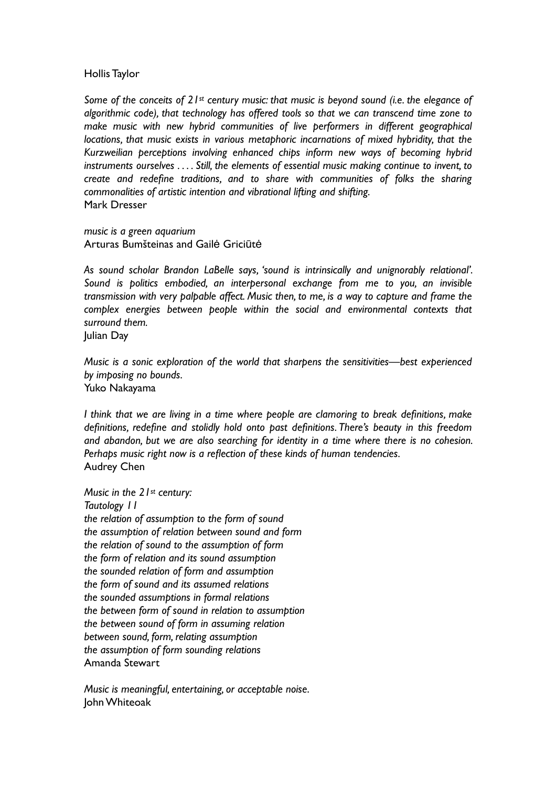## Hollis Taylor

*Some of the conceits of 21st century music: that music is beyond sound (i.e. the elegance of algorithmic code), that technology has offered tools so that we can transcend time zone to make music with new hybrid communities of live performers in different geographical locations, that music exists in various metaphoric incarnations of mixed hybridity, that the Kurzweilian perceptions involving enhanced chips inform new ways of becoming hybrid instruments ourselves . . . . Still, the elements of essential music making continue to invent, to create and redefine traditions, and to share with communities of folks the sharing commonalities of artistic intention and vibrational lifting and shifting.* Mark Dresser

*music is a green aquarium* Arturas Bumšteinas and Gailė Griciūtė

*As sound scholar Brandon LaBelle says, 'sound is intrinsically and unignorably relational'. Sound is politics embodied, an interpersonal exchange from me to you, an invisible transmission with very palpable affect. Music then, to me, is a way to capture and frame the complex energies between people within the social and environmental contexts that surround them.*

Julian Day

*Music is a sonic exploration of the world that sharpens the sensitivities—best experienced by imposing no bounds.* Yuko Nakayama

*I think that we are living in a time where people are clamoring to break definitions, make definitions, redefine and stolidly hold onto past definitions. There's beauty in this freedom and abandon, but we are also searching for identity in a time where there is no cohesion. Perhaps music right now is a reflection of these kinds of human tendencies.* Audrey Chen

*Music in the 21st century: Tautology 11 the relation of assumption to the form of sound the assumption of relation between sound and form the relation of sound to the assumption of form the form of relation and its sound assumption the sounded relation of form and assumption the form of sound and its assumed relations the sounded assumptions in formal relations the between form of sound in relation to assumption the between sound of form in assuming relation between sound, form, relating assumption the assumption of form sounding relations* Amanda Stewart

*Music is meaningful, entertaining, or acceptable noise*. John Whiteoak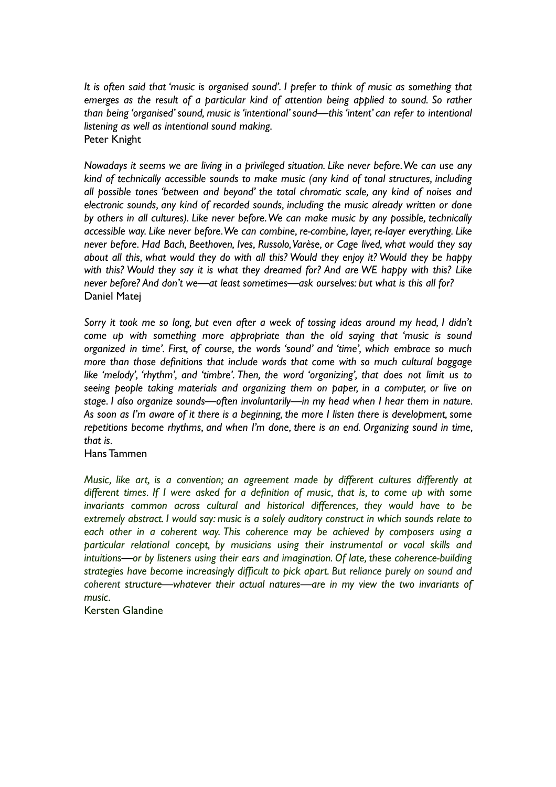*It is often said that 'music is organised sound'. I prefer to think of music as something that emerges as the result of a particular kind of attention being applied to sound. So rather than being 'organised' sound, music is 'intentional' sound—this 'intent' can refer to intentional listening as well as intentional sound making.* Peter Knight

*Nowadays it seems we are living in a privileged situation. Like never before. We can use any kind of technically accessible sounds to make music (any kind of tonal structures, including all possible tones 'between and beyond' the total chromatic scale, any kind of noises and electronic sounds, any kind of recorded sounds, including the music already written or done by others in all cultures). Like never before. We can make music by any possible, technically accessible way. Like never before. We can combine, re-combine, layer, re-layer everything. Like never before. Had Bach, Beethoven, Ives, Russolo, Varèse, or Cage lived, what would they say about all this, what would they do with all this? Would they enjoy it? Would they be happy with this? Would they say it is what they dreamed for? And are WE happy with this? Like never before? And don't we—at least sometimes—ask ourselves: but what is this all for?* Daniel Matej

Sorry it took me so long, but even after a week of tossing ideas around my head, I didn't *come up with something more appropriate than the old saying that 'music is sound organized in time'. First, of course, the words 'sound' and 'time', which embrace so much more than those definitions that include words that come with so much cultural baggage like 'melody', 'rhythm', and 'timbre'. Then, the word 'organizing', that does not limit us to seeing people taking materials and organizing them on paper, in a computer, or live on stage. I also organize sounds—often involuntarily—in my head when I hear them in nature. As soon as I'm aware of it there is a beginning, the more I listen there is development, some repetitions become rhythms, and when I'm done, there is an end. Organizing sound in time, that is.*

Hans Tammen

*Music, like art, is a convention; an agreement made by different cultures differently at different times. If I were asked for a definition of music, that is, to come up with some invariants common across cultural and historical differences, they would have to be extremely abstract. I would say: music is a solely auditory construct in which sounds relate to each other in a coherent way. This coherence may be achieved by composers using a particular relational concept, by musicians using their instrumental or vocal skills and intuitions—or by listeners using their ears and imagination. Of late, these coherence-building strategies have become increasingly difficult to pick apart. But reliance purely on sound and coherent structure—whatever their actual natures—are in my view the two invariants of music.*

Kersten Glandine